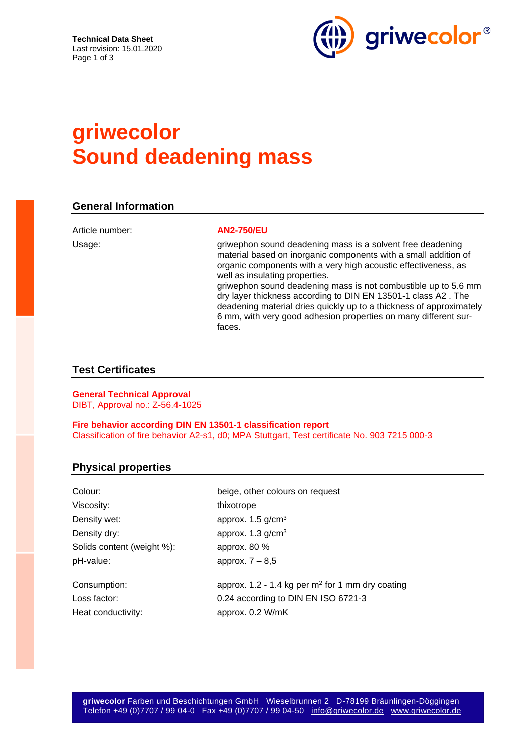

# **griwecolor Sound deadening mass**

### **General Information**

Article number: **AN2-750/EU**

Usage: griwephon sound deadening mass is a solvent free deadening material based on inorganic components with a small addition of organic components with a very high acoustic effectiveness, as well as insulating properties. griwephon sound deadening mass is not combustible up to 5.6 mm dry layer thickness according to DIN EN 13501-1 class A2 . The deadening material dries quickly up to a thickness of approximately 6 mm, with very good adhesion properties on many different surfaces.

#### **Test Certificates**

**General Technical Approval** DIBT, Approval no.: Z-56.4-1025

**Fire behavior according DIN EN 13501-1 classification report** Classification of fire behavior A2-s1, d0; MPA Stuttgart, Test certificate No. 903 7215 000-3

### **Physical properties**

| Colour:                    | beige, other colours on request                    |
|----------------------------|----------------------------------------------------|
| Viscosity:                 | thixotrope                                         |
| Density wet:               | approx. $1.5$ g/cm <sup>3</sup>                    |
| Density dry:               | approx. $1.3$ g/cm <sup>3</sup>                    |
| Solids content (weight %): | approx. 80 %                                       |
| pH-value:                  | approx. $7 - 8.5$                                  |
| Consumption:               | approx. 1.2 - 1.4 kg per $m2$ for 1 mm dry coating |
| Loss factor:               | 0.24 according to DIN EN ISO 6721-3                |
| Heat conductivity:         | approx. 0.2 W/mK                                   |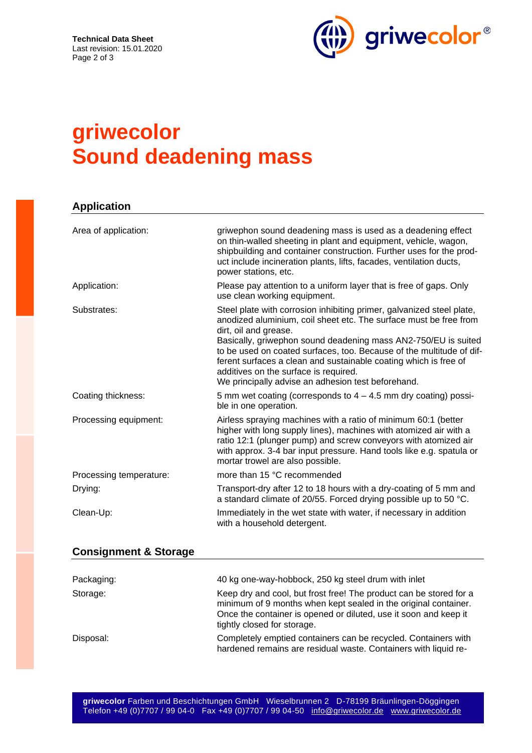

# **griwecolor Sound deadening mass**

| <b>Application</b>      |                                                                                                                                                                                                                                                                                                                                                                                                                                                                                  |  |
|-------------------------|----------------------------------------------------------------------------------------------------------------------------------------------------------------------------------------------------------------------------------------------------------------------------------------------------------------------------------------------------------------------------------------------------------------------------------------------------------------------------------|--|
| Area of application:    | griwephon sound deadening mass is used as a deadening effect<br>on thin-walled sheeting in plant and equipment, vehicle, wagon,<br>shipbuilding and container construction. Further uses for the prod-<br>uct include incineration plants, lifts, facades, ventilation ducts,<br>power stations, etc.                                                                                                                                                                            |  |
| Application:            | Please pay attention to a uniform layer that is free of gaps. Only<br>use clean working equipment.                                                                                                                                                                                                                                                                                                                                                                               |  |
| Substrates:             | Steel plate with corrosion inhibiting primer, galvanized steel plate,<br>anodized aluminium, coil sheet etc. The surface must be free from<br>dirt, oil and grease.<br>Basically, griwephon sound deadening mass AN2-750/EU is suited<br>to be used on coated surfaces, too. Because of the multitude of dif-<br>ferent surfaces a clean and sustainable coating which is free of<br>additives on the surface is required.<br>We principally advise an adhesion test beforehand. |  |
| Coating thickness:      | 5 mm wet coating (corresponds to $4 - 4.5$ mm dry coating) possi-<br>ble in one operation.                                                                                                                                                                                                                                                                                                                                                                                       |  |
| Processing equipment:   | Airless spraying machines with a ratio of minimum 60:1 (better<br>higher with long supply lines), machines with atomized air with a<br>ratio 12:1 (plunger pump) and screw conveyors with atomized air<br>with approx. 3-4 bar input pressure. Hand tools like e.g. spatula or<br>mortar trowel are also possible.                                                                                                                                                               |  |
| Processing temperature: | more than 15 °C recommended                                                                                                                                                                                                                                                                                                                                                                                                                                                      |  |
| Drying:                 | Transport-dry after 12 to 18 hours with a dry-coating of 5 mm and<br>a standard climate of 20/55. Forced drying possible up to 50 °C.                                                                                                                                                                                                                                                                                                                                            |  |
| Clean-Up:               | Immediately in the wet state with water, if necessary in addition<br>with a household detergent.                                                                                                                                                                                                                                                                                                                                                                                 |  |

### **Consignment & Storage**

| Packaging: | 40 kg one-way-hobbock, 250 kg steel drum with inlet                                                                                                                                                                                      |
|------------|------------------------------------------------------------------------------------------------------------------------------------------------------------------------------------------------------------------------------------------|
| Storage:   | Keep dry and cool, but frost free! The product can be stored for a<br>minimum of 9 months when kept sealed in the original container.<br>Once the container is opened or diluted, use it soon and keep it<br>tightly closed for storage. |
| Disposal:  | Completely emptied containers can be recycled. Containers with<br>hardened remains are residual waste. Containers with liquid re-                                                                                                        |

**griwecolor** Farben und Beschichtungen GmbH Wieselbrunnen 2 D-78199 Bräunlingen-Döggingen Telefon +49 (0)7707 / 99 04-0 Fax +49 (0)7707 / 99 04-50 [info@griwecolor.de](mailto:info@griwecolor.de) [www.griwecolor.de](http://www.griwecolor.de/)